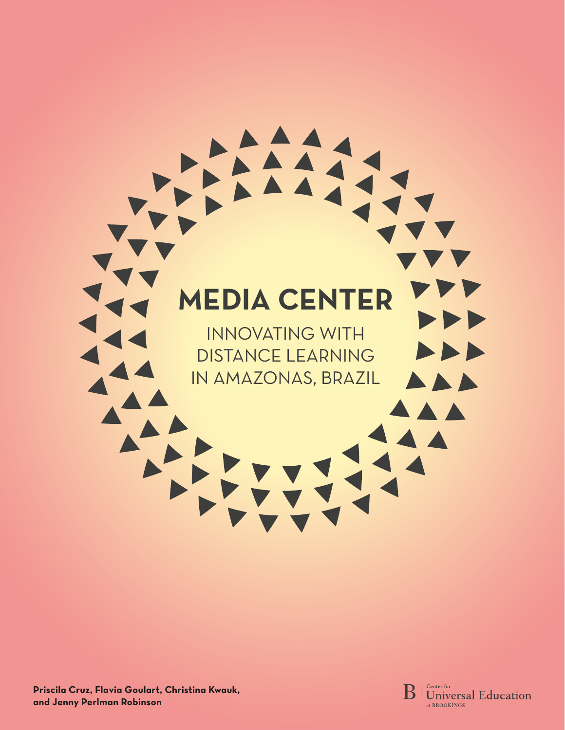# **MEDIA CENTER**  INNOVATING WITH  $\blacktriangleright$ DISTANCE LEARNING IN AMAZONAS, BRAZIL $\blacktriangle \blacktriangle \blacktriangleright$ AA

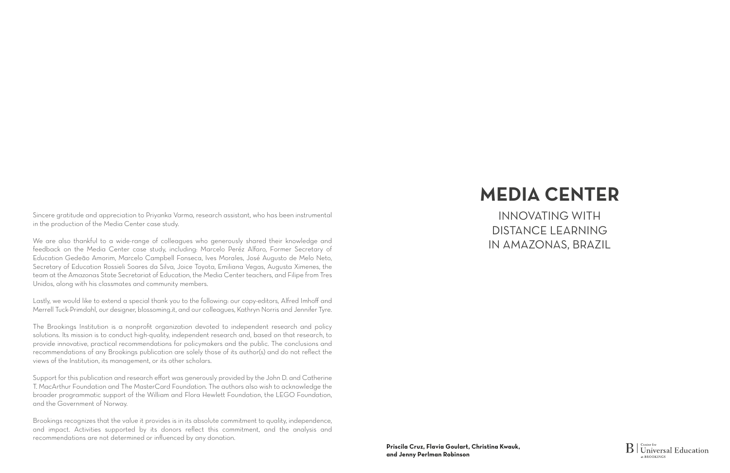Sincere gratitude and appreciation to Priyanka Varma, research assistant, who has been instrumental in the production of the Media Center case study.

We are also thankful to a wide-range of colleagues who generously shared their knowledge and feedback on the Media Center case study, including: Marcelo Peréz Alfaro, Former Secretary of Education Gedeão Amorim, Marcelo Campbell Fonseca, Ives Morales, José Augusto de Melo Neto, Secretary of Education Rossieli Soares da Silva, Joice Toyota, Emiliana Vegas, Augusta Ximenes, the team at the Amazonas State Secretariat of Education, the Media Center teachers, and Filipe from Tres Unidos, along with his classmates and community members.

Lastly, we would like to extend a special thank you to the following: our copy-editors, Alfred Imhoff and Merrell Tuck-Primdahl, our designer, blossoming.it, and our colleagues, Kathryn Norris and Jennifer Tyre.

The Brookings Institution is a nonprofit organization devoted to independent research and policy solutions. Its mission is to conduct high-quality, independent research and, based on that research, to provide innovative, practical recommendations for policymakers and the public. The conclusions and recommendations of any Brookings publication are solely those of its author(s) and do not reflect the views of the Institution, its management, or its other scholars.

Support for this publication and research effort was generously provided by the John D. and Catherine T. MacArthur Foundation and The MasterCard Foundation. The authors also wish to acknowledge the broader programmatic support of the William and Flora Hewlett Foundation, the LEGO Foundation, and the Government of Norway.

Brookings recognizes that the value it provides is in its absolute commitment to quality, independence, and impact. Activities supported by its donors reflect this commitment, and the analysis and recommendations are not determined or influenced by any donation.



## **MEDIA CENTER**

INNOVATING WITH DISTANCE LEARNING IN AMAZONAS, BRAZIL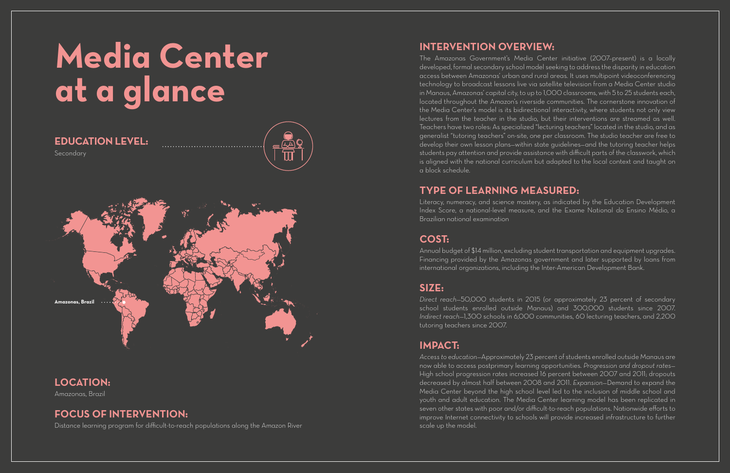**4 5**

# **Media Center at a glance**

## **LOCATION:**

Amazonas, Brazil

## **FOCUS OF INTERVENTION:**

Distance learning program for difficult-to-reach populations along the Amazon River

## **EDUCATION LEVEL:**

Secondary



## **INTERVENTION OVERVIEW:**

The Amazonas Government's Media Center initiative (2007–present) is a locally developed, formal secondary school model seeking to address the disparity in education access between Amazonas' urban and rural areas. It uses multipoint videoconferencing technology to broadcast lessons live via satellite television from a Media Center studio in Manaus, Amazonas' capital city, to up to 1,000 classrooms, with 5 to 25 students each, located throughout the Amazon's riverside communities. The cornerstone innovation of the Media Center's model is its bidirectional interactivity, where students not only view lectures from the teacher in the studio, but their interventions are streamed as well. Teachers have two roles: As specialized "lecturing teachers" located in the studio, and as generalist "tutoring teachers" on-site, one per classroom. The studio teacher are free to develop their own lesson plans—within state guidelines—and the tutoring teacher helps students pay attention and provide assistance with difficult parts of the classwork, which is aligned with the national curriculum but adapted to the local context and taught on a block schedule.

## **TYPE OF LEARNING MEASURED:**

Literacy, numeracy, and science mastery, as indicated by the Education Development Index Score, a national-level measure, and the Exame National do Ensino Médio, a Brazilian national examination

### **COST:**

Annual budget of \$14 million, excluding student transportation and equipment upgrades. Financing provided by the Amazonas government and later supported by loans from international organizations, including the Inter-American Development Bank.

## **SIZE:**

*Direct reach*—50,000 students in 2015 (or approximately 23 percent of secondary school students enrolled outside Manaus) and 300,000 students since 2007. *Indirect reach*-1,300 schools in 6,000 communities, 60 lecturing teachers, and 2,200 tutoring teachers since 2007.

### **IMPACT:**

*Access to education*—Approximately 23 percent of students enrolled outside Manaus are now able to access postprimary learning opportunities. *Progression and dropout rates*— High school progression rates increased 16 percent between 2007 and 2011; dropouts decreased by almost half between 2008 and 2011. *Expansion*—Demand to expand the Media Center beyond the high school level led to the inclusion of middle school and youth and adult education. The Media Center learning model has been replicated in seven other states with poor and/or difficult-to-reach populations. Nationwide efforts to improve Internet connectivity to schools will provide increased infrastructure to further scale up the model.

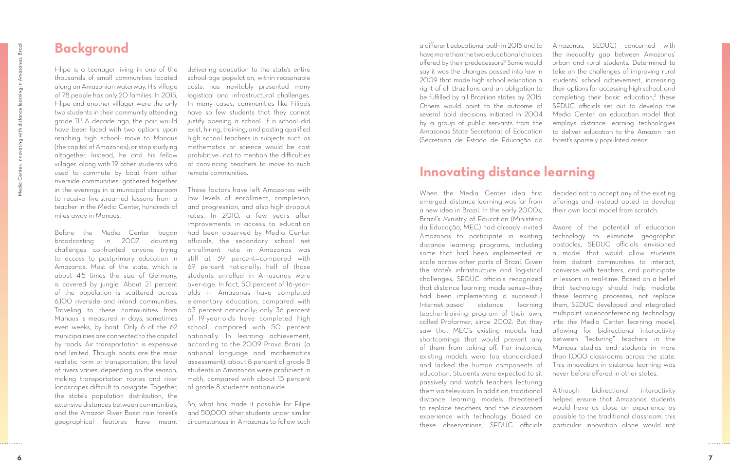## **Background**

Filipe is a teenager living in one of the thousands of small communities located along an Amazonian waterway. His village of 78 people has only 20 families. In 2015, Filipe and another villager were the only two students in their community attending grade 11. 1 A decade ago, the pair would have been faced with two options upon reaching high school: move to Manaus (the capital of Amazonas); or stop studying altogether. Instead, he and his fellow villager, along with 19 other students who used to commute by boat from other riverside communities, gathered together in the evenings in a municipal classroom to receive live-streamed lessons from a teacher in the Media Center, hundreds of miles away in Manaus.

Before the Media Center began broadcasting in 2007, daunting challenges confronted anyone trying to access to postprimary education in Amazonas. Most of the state, which is about 4.5 times the size of Germany, is covered by jungle. About 21 percent of the population is scattered across 6,100 riverside and inland communities. Traveling to these communities from Manaus is measured in days, sometimes even weeks, by boat. Only 6 of the 62 municipalities are connected to the capital by roads. Air transportation is expensive and limited. Though boats are the most realistic form of transportation, the level of rivers varies, depending on the season, making transportation routes and river landscapes difficult to navigate. Together, the state's population distribution, the extensive distances between communities, and the Amazon River Basin rain forest's geographical features have meant

delivering education to the state's entire school-age population, within reasonable costs, has inevitably presented many logistical and infrastructural challenges. In many cases, communities like Filipe's have so few students that they cannot justify opening a school. If a school did exist, hiring, training, and posting qualified high school teachers in subjects such as mathematics or science would be cost prohibitive—not to mention the difficulties of convincing teachers to move to such remote communities.

These factors have left Amazonas with low levels of enrollment, completion, and progression, and also high dropout rates. In 2010, a few years after improvements in access to education had been observed by Media Center officials, the secondary school net enrollment rate in Amazonas was still at 39 percent—compared with 69 percent nationally; half of those students enrolled in Amazonas were over-age. In fact, 50 percent of 16-yearolds in Amazonas have completed elementary education, compared with 63 percent nationally; only 36 percent of 19-year-olds have completed high school, compared with 50 percent nationally. In learning achievement, according to the 2009 Prova Brasil (a national language and mathematics assessment), about 8 percent of grade 8 students in Amazonas were proficient in math, compared with about 15 percent of grade 8 students nationwide.

So, what has made it possible for Filipe and 50,000 other students under similar circumstances in Amazonas to follow such a different educational path in 2015 and to have more than the two educational choices offered by their predecessors? Some would say it was the changes passed into law in 2009 that made high school education a right of all Brazilians and an obligation to be fulfilled by all Brazilian states by 2016. Others would point to the outcome of several bold decisions initiated in 2004 by a group of public servants from the Amazonas State Secretariat of Education (Secretaria de Estado de Educação do Amazonas, SEDUC) concerned with the inequality gap between Amazonas' urban and rural students. Determined to take on the challenges of improving rural students' school achievement, increasing their options for accessing high school, and completing their basic education, 2 these SEDUC officials set out to develop the Media Center, an education model that employs distance learning technologies to deliver education to the Amazon rain forest's sparsely populated areas.

## **Innovating distance learning**

When the Media Center idea first emerged, distance learning was far from a new idea in Brazil. In the early 2000s, Brazil's Ministry of Education (Ministério da Educação, MEC) had already invited Amazonas to participate in existing distance learning programs, including some that had been implemented at scale across other parts of Brazil. Given the state's infrastructure and logistical challenges, SEDUC officials recognized that distance learning made sense—they had been implementing a successful Internet-based distance learning teacher-training program of their own, called Proformar, since 2002. But they saw that MEC's existing models had shortcomings that would prevent any of them from taking off. For instance, existing models were too standardized and lacked the human components of education. Students were expected to sit passively and watch teachers lecturing them via television. In addition, traditional distance learning models threatened to replace teachers and the classroom experience with technology. Based on these observations, SEDUC officials decided not to accept any of the existing offerings and instead opted to develop their own local model from scratch. Aware of the potential of education technology to eliminate geographic obstacles, SEDUC officials envisioned a model that would allow students from distant communities to interact, converse with teachers, and participate in lessons in real-time. Based on a belief that technology should help mediate these learning processes, not replace them, SEDUC developed and integrated multipoint videoconferencing technology into the Media Center learning model, allowing for bidirectional interactivity between "lecturing" teachers in the Manaus studios and students in more than 1,000 classrooms across the state. This innovation in distance learning was never before offered in other states. Although bidirectional interactivity helped ensure that Amazonas students would have as close an experience as possible to the traditional classroom, this particular innovation alone would not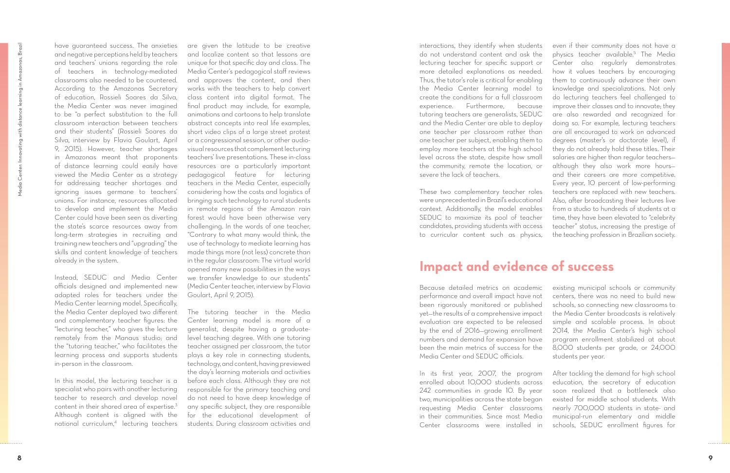have guaranteed success. The anxieties and negative perceptions held by teachers and teachers' unions regarding the role of teachers in technology-mediated classrooms also needed to be countered. According to the Amazonas Secretary of education, Rossieli Soares da Silva, the Media Center was never imagined to be "a perfect substitution to the full classroom interaction between teachers and their students" (Rossieli Soares da Silva, interview by Flavia Goulart, April 9, 2015). However, teacher shortages in Amazonas meant that proponents of distance learning could easily have viewed the Media Center as a strategy for addressing teacher shortages and ignoring issues germane to teachers' unions. For instance, resources allocated to develop and implement the Media Center could have been seen as diverting the state's scarce resources away from long-term strategies in recruiting and training new teachers and "upgrading" the skills and content knowledge of teachers already in the system.

Instead, SEDUC and Media Center officials designed and implemented new adapted roles for teachers under the Media Center learning model. Specifically, the Media Center deployed two different and complementary teacher figures: the "lecturing teacher," who gives the lecture remotely from the Manaus studio; and the "tutoring teacher," who facilitates the learning process and supports students in-person in the classroom.

In this model, the lecturing teacher is a specialist who pairs with another lecturing teacher to research and develop novel content in their shared area of expertise. 3 Although content is aligned with the national curriculum,4 lecturing teachers

are given the latitude to be creative and localize content so that lessons are unique for that specific day and class. The Media Center's pedagogical staff reviews and approves the content, and then works with the teachers to help convert class content into digital format. The final product may include, for example, animations and cartoons to help translate abstract concepts into real life examples, short video clips of a large street protest or a congressional session, or other audiovisual resources that complement lecturing teachers' live presentations. These in-class resources are a particularly important pedagogical feature for lecturing teachers in the Media Center, especially considering how the costs and logistics of bringing such technology to rural students in remote regions of the Amazon rain forest would have been otherwise very challenging. In the words of one teacher, "Contrary to what many would think, the use of technology to mediate learning has made things more (not less) concrete than in the regular classroom: The virtual world opened many new possibilities in the ways we transfer knowledge to our students" (Media Center teacher, interview by Flavia Goulart, April 9, 2015).

The tutoring teacher in the Media Center learning model is more of a generalist, despite having a graduatelevel teaching degree. With one tutoring teacher assigned per classroom, the tutor plays a key role in connecting students, technology, and content, having previewed the day's learning materials and activities before each class. Although they are not responsible for the primary teaching and do not need to have deep knowledge of any specific subject, they are responsible for the educational development of students. During classroom activities and interactions, they identify when students do not understand content and ask the lecturing teacher for specific support or more detailed explanations as needed. Thus, the tutor's role is critical for enabling the Media Center learning model to create the conditions for a full classroom experience. Furthermore, because tutoring teachers are generalists, SEDUC and the Media Center are able to deploy one teacher per classroom rather than one teacher per subject, enabling them to employ more teachers at the high school level across the state, despite how small the community, remote the location, or severe the lack of teachers. These two complementary teacher roles were unprecedented in Brazil's educational context. Additionally, the model enables SEDUC to maximize its pool of teacher candidates, providing students with access to curricular content such as physics, even if their community does not have a physics teacher available. 5 The Media Center also regularly demonstrates how it values teachers by encouraging them to continuously advance their own knowledge and specializations. Not only do lecturing teachers feel challenged to improve their classes and to innovate; they are also rewarded and recognized for doing so. For example, lecturing teachers are all encouraged to work on advanced degrees (master's or doctorate level), if they do not already hold these titles. Their salaries are higher than regular teachers although they also work more hours and their careers are more competitive. Every year, 10 percent of low-performing teachers are replaced with new teachers. Also, after broadcasting their lectures live from a studio to hundreds of students at a time, they have been elevated to "celebrity teacher" status, increasing the prestige of the teaching profession in Brazilian society.

## **Impact and evidence of success**

Because detailed metrics on academic performance and overall impact have not been rigorously monitored or published yet—the results of a comprehensive impact evaluation are expected to be released by the end of 2016—growing enrollment numbers and demand for expansion have been the main metrics of success for the Media Center and SEDUC officials. existing municipal schools or community centers, there was no need to build new schools, so connecting new classrooms to the Media Center broadcasts is relatively simple and scalable process. In about 2014, the Media Center's high school program enrollment stabilized at about 8,000 students per grade, or 24,000 students per year.

In its first year, 2007, the program enrolled about 10,000 students across 242 communities in grade 10. By year two, municipalities across the state began requesting Media Center classrooms in their communities. Since most Media Center classrooms were installed in After tackling the demand for high school education, the secretary of education soon realized that a bottleneck also existed for middle school students. With nearly 700,000 students in state- and municipal-run elementary and middle schools, SEDUC enrollment figures for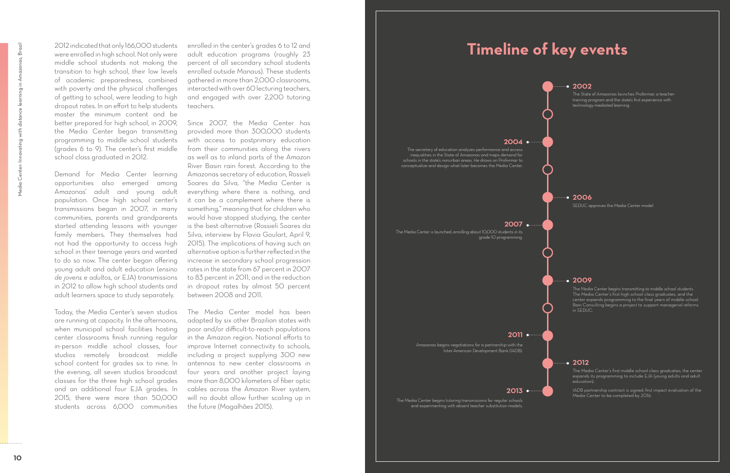2012 indicated that only 166,000 students were enrolled in high school. Not only were middle school students not making the transition to high school, their low levels of academic preparedness, combined with poverty and the physical challenges of getting to school, were leading to high dropout rates. In an effort to help students master the minimum content and be better prepared for high school, in 2009, the Media Center began transmitting programming to middle school students (grades 6 to 9). The center's first middle school class graduated in 2012.

Demand for Media Center learning opportunities also emerged among Amazonas' adult and young adult population. Once high school center's transmissions began in 2007, in many communities, parents and grandparents started attending lessons with younger family members. They themselves had not had the opportunity to access high school in their teenage years and wanted to do so now. The center began offering young adult and adult education (*ensino de jovens e adultos,* or EJA) transmissions in 2012 to allow high school students and adult learners space to study separately.

Today, the Media Center's seven studios are running at capacity. In the afternoons, when municipal school facilities hosting center classrooms finish running regular in-person middle school classes, four studios remotely broadcast middle school content for grades six to nine. In the evening, all seven studios broadcast classes for the three high school grades and an additional four EJA grades. In 2015, there were more than 50,000 students across 6,000 communities

enrolled in the center's grades 6 to 12 and adult education programs (roughly 23 percent of all secondary school students enrolled outside Manaus). These students gathered in more than 2,000 classrooms, interacted with over 60 lecturing teachers, and engaged with over 2,200 tutoring teachers.

Since 2007, the Media Center has provided more than 300,000 students with access to postprimary education from their communities along the rivers as well as to inland parts of the Amazon River Basin rain forest. According to the Amazonas secretary of education, Rossieli Soares da Silva, "the Media Center is everything where there is nothing, and it can be a complement where there is something," meaning that for children who would have stopped studying, the center is the best alternative (Rossieli Soares da Silva, interview by Flavia Goulart, April 9, 2015). The implications of having such an alternative option is further reflected in the increase in secondary school progression rates in the state from 67 percent in 2007 to 83 percent in 2011, and in the reduction in dropout rates by almost 50 percent between 2008 and 2011.

The Media Center model has been adapted by six other Brazilian states with poor and/or difficult-to-reach populations in the Amazon region. National efforts to improve Internet connectivity to schools, including a project supplying 300 new antennas to new center classrooms in four years and another project laying more than 8,000 kilometers of fiber optic cables across the Amazon River system, will no doubt allow further scaling up in the future (Magalhães 2015).

#### **2011**

Amazonas begins negotiations for a partnership with the Inter-American Development Bank (IADB).

## **Timeline of key events**

**2002**

training program and the state's first experience with technology-mediated learning.

**2006**

SEDUC approves the Media Center model.

#### **2009**

The Media Center begins transmitting to middle school students. The Media Center's first high school class graduates, and the center expands programming to the final years of middle school. Bain Consulting begins a project to support managerial reforms in SEDUC.

#### **2012**

The Media Center's first middle school class graduates; the center expands its programming to include EJA (young adults and adult education).

IADB partnership contract is signed; first impact evaluation of the Media Center to be completed by 2016.

#### **2013**

The Media Center begins tutoring transmissions for regular schools and experimenting with absent teacher substitution models.

#### **2004**

The secretary of education analyzes performance and access inequalities in the State of Amazonas and maps demand for schools in the state's nonurban areas. He draws on Proformar to conceptualize and design what later becomes the Media Center.

#### **2007**

The Media Center is launched, enrolling about 10,000 students in its grade 10 programming.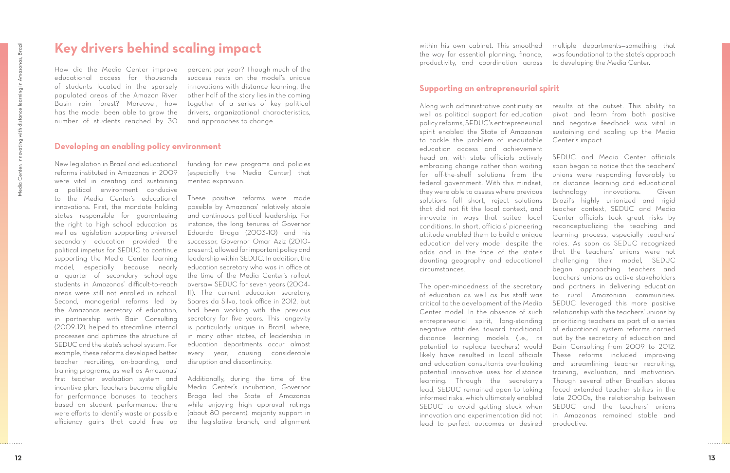## **Key drivers behind scaling impact**

How did the Media Center improve educational access for thousands of students located in the sparsely populated areas of the Amazon River Basin rain forest? Moreover, how has the model been able to grow the number of students reached by 30

percent per year? Though much of the success rests on the model's unique innovations with distance learning, the other half of the story lies in the coming together of a series of key political drivers, organizational characteristics, and approaches to change.

#### **Developing an enabling policy environment**

New legislation in Brazil and educational reforms instituted in Amazonas in 2009 were vital in creating and sustaining a political environment conducive to the Media Center's educational innovations. First, the mandate holding states responsible for guaranteeing the right to high school education as well as legislation supporting universal secondary education provided the political impetus for SEDUC to continue supporting the Media Center learning model, especially because nearly a quarter of secondary school-age students in Amazonas' difficult-to-reach areas were still not enrolled in school. Second, managerial reforms led by the Amazonas secretary of education, in partnership with Bain Consulting (2009–12), helped to streamline internal processes and optimize the structure of SEDUC and the state's school system. For example, these reforms developed better teacher recruiting, on-boarding, and training programs, as well as Amazonas' first teacher evaluation system and incentive plan. Teachers became eligible for performance bonuses to teachers based on student performance; there were efforts to identify waste or possible efficiency gains that could free up

funding for new programs and policies (especially the Media Center) that merited expansion.

These positive reforms were made possible by Amazonas' relatively stable and continuous political leadership. For instance, the long tenures of Governor Eduardo Braga (2003–10) and his successor, Governor Omar Aziz (2010– present), allowed for important policy and leadership within SEDUC. In addition, the education secretary who was in office at the time of the Media Center's rollout oversaw SEDUC for seven years (2004– 11). The current education secretary, Soares da Silva, took office in 2012, but had been working with the previous secretary for five years. This longevity is particularly unique in Brazil, where, in many other states, of leadership in education departments occur almost every year, causing considerable disruption and discontinuity.

Additionally, during the time of the Media Center's incubation, Governor Braga led the State of Amazonas while enjoying high approval ratings (about 80 percent), majority support in the legislative branch, and alignment within his own cabinet. This smoothed the way for essential planning, finance, productivity, and coordination across multiple departments—something that was foundational to the state's approach to developing the Media Center.

#### **Supporting an entrepreneurial spirit**

head on, with state officials actively embracing change rather than waiting for off-the-shelf solutions from the federal government. With this mindset, they were able to assess where previous solutions fell short, reject solutions that did not fit the local context, and innovate in ways that suited local conditions. In short, officials' pioneering attitude enabled them to build a unique education delivery model despite the odds and in the face of the state's daunting geography and educational circumstances. The open-mindedness of the secretary of education as well as his staff was critical to the development of the Media Center model. In the absence of such entrepreneurial spirit, long-standing negative attitudes toward traditional distance learning models (i.e., its potential to replace teachers) would likely have resulted in local officials and education consultants overlooking potential innovative uses for distance learning. Through the secretary's lead, SEDUC remained open to taking informed risks, which ultimately enabled SEDUC to avoid getting stuck when innovation and experimentation did not lead to perfect outcomes or desired

Along with administrative continuity as well as political support for education policy reforms, SEDUC's entrepreneurial spirit enabled the State of Amazonas to tackle the problem of inequitable education access and achievement results at the outset. This ability to pivot and learn from both positive and negative feedback was vital in sustaining and scaling up the Media Center's impact. SEDUC and Media Center officials soon began to notice that the teachers' unions were responding favorably to its distance learning and educational technology innovations. Given Brazil's highly unionized and rigid teacher context, SEDUC and Media Center officials took great risks by reconceptualizing the teaching and learning process, especially teachers' roles. As soon as SEDUC recognized that the teachers' unions were not challenging their model, SEDUC began approaching teachers and teachers' unions as active stakeholders and partners in delivering education to rural Amazonian communities. SEDUC leveraged this more positive relationship with the teachers' unions by prioritizing teachers as part of a series of educational system reforms carried out by the secretary of education and Bain Consulting from 2009 to 2012. These reforms included improving and streamlining teacher recruiting, training, evaluation, and motivation. Though several other Brazilian states faced extended teacher strikes in the late 2000s, the relationship between SEDUC and the teachers' unions in Amazonas remained stable and productive.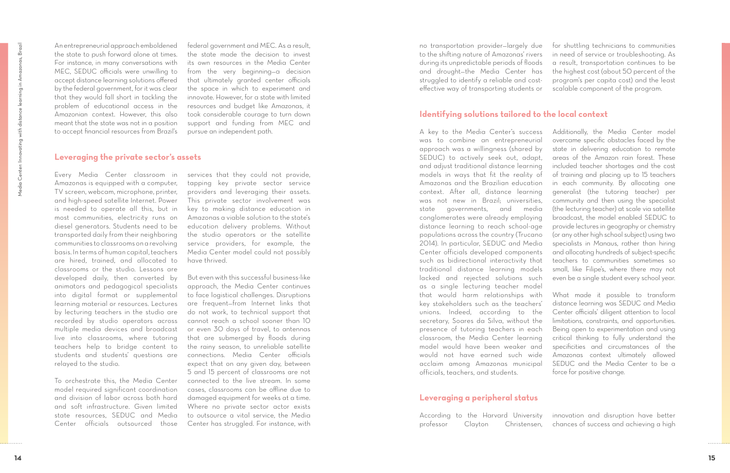An entrepreneurial approach emboldened the state to push forward alone at times. For instance, in many conversations with MEC, SEDUC officials were unwilling to accept distance learning solutions offered by the federal government, for it was clear that they would fall short in tackling the problem of educational access in the Amazonian context. However, this also meant that the state was not in a position to accept financial resources from Brazil's

federal government and MEC. As a result, the state made the decision to invest its own resources in the Media Center from the very beginning—a decision that ultimately granted center officials the space in which to experiment and innovate. However, for a state with limited resources and budget like Amazonas, it took considerable courage to turn down support and funding from MEC and pursue an independent path.

#### **Leveraging the private sector's assets**

Every Media Center classroom in Amazonas is equipped with a computer, TV screen, webcam, microphone, printer, and high-speed satellite Internet. Power is needed to operate all this, but in most communities, electricity runs on diesel generators. Students need to be transported daily from their neighboring communities to classrooms on a revolving basis. In terms of human capital, teachers are hired, trained, and allocated to classrooms or the studio. Lessons are developed daily, then converted by animators and pedagogical specialists into digital format or supplemental learning material or resources. Lectures by lecturing teachers in the studio are recorded by studio operators across multiple media devices and broadcast live into classrooms, where tutoring teachers help to bridge content to students and students' questions are relayed to the studio.

To orchestrate this, the Media Center model required significant coordination and division of labor across both hard and soft infrastructure. Given limited state resources, SEDUC and Media Center officials outsourced those

services that they could not provide, tapping key private sector service providers and leveraging their assets. This private sector involvement was key to making distance education in Amazonas a viable solution to the state's education delivery problems. Without the studio operators or the satellite service providers, for example, the Media Center model could not possibly have thrived.

But even with this successful business-like approach, the Media Center continues to face logistical challenges. Disruptions are frequent—from Internet links that do not work, to technical support that cannot reach a school sooner than 10 or even 30 days of travel, to antennas that are submerged by floods during the rainy season, to unreliable satellite connections. Media Center officials expect that on any given day, between 5 and 15 percent of classrooms are not connected to the live stream. In some cases, classrooms can be offline due to damaged equipment for weeks at a time. Where no private sector actor exists to outsource a vital service, the Media Center has struggled. For instance, with

no transportation provider—largely due to the shifting nature of Amazonas' rivers during its unpredictable periods of floods and drought—the Media Center has struggled to identify a reliable and costeffective way of transporting students or for shuttling technicians to communities in need of service or troubleshooting. As a result, transportation continues to be the highest cost (about 50 percent of the program's per capita cost) and the least scalable component of the program.

### **Identifying solutions tailored to the local context**

A key to the Media Center's success was to combine an entrepreneurial approach was a willingness (shared by SEDUC) to actively seek out, adapt, and adjust traditional distance learning models in ways that fit the reality of Amazonas and the Brazilian education context. After all, distance learning was not new in Brazil; universities, state governments, and media conglomerates were already employing distance learning to reach school-age populations across the country (Trucano 2014). In particular, SEDUC and Media Center officials developed components such as bidirectional interactivity that traditional distance learning models lacked and rejected solutions such as a single lecturing teacher model that would harm relationships with key stakeholders such as the teachers' unions. Indeed, according to the secretary, Soares da Silva, without the presence of tutoring teachers in each classroom, the Media Center learning model would have been weaker and would not have earned such wide acclaim among Amazonas municipal officials, teachers, and students. Additionally, the Media Center model overcame specific obstacles faced by the state in delivering education to remote areas of the Amazon rain forest. These included teacher shortages and the cost of training and placing up to 15 teachers in each community. By allocating one generalist (the tutoring teacher) per community and then using the specialist (the lecturing teacher) at scale via satellite broadcast, the model enabled SEDUC to provide lectures in geography or chemistry (or any other high school subject) using two specialists in Manaus, rather than hiring and allocating hundreds of subject-specific teachers to communities sometimes so small, like Filipe's, where there may not even be a single student every school year. What made it possible to transform distance learning was SEDUC and Media Center officials' diligent attention to local limitations, constraints, and opportunities. Being open to experimentation and using critical thinking to fully understand the specificities and circumstances of the Amazonas context ultimately allowed SEDUC and the Media Center to be a force for positive change.

### **Leveraging a peripheral status**

According to the Harvard University professor Clayton Christensen, innovation and disruption have better chances of success and achieving a high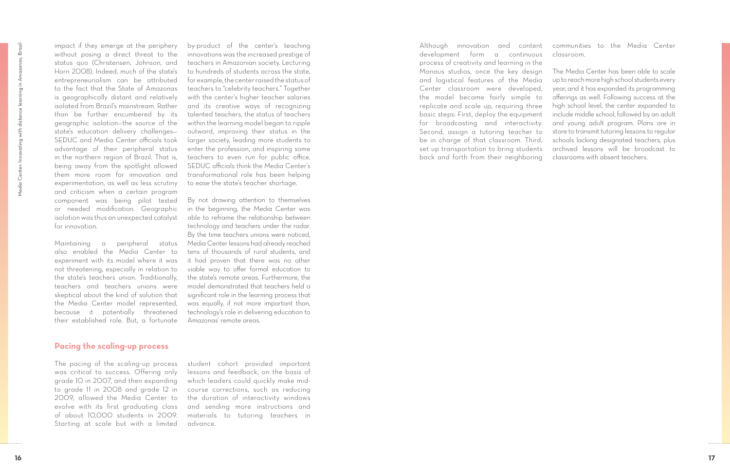impact if they emerge at the periphery without posing a direct threat to the status quo (Christensen, Johnson, and Horn 2008). Indeed, much of the state's entrepreneurialism can be attributed to the fact that the State of Amazonas is geographically distant and relatively isolated from Brazil's mainstream. Rather than be further encumbered by its geographic isolation—the source of the state's education delivery challenges— SEDUC and Media Center officials took advantage of their peripheral status in the northern region of Brazil. That is, being away from the spotlight allowed them more room for innovation and experimentation, as well as less scrutiny and criticism when a certain program component was being pilot tested or needed modification. Geographic isolation was thus an unexpected catalyst for innovation.

Maintaining a peripheral status also enabled the Media Center to experiment with its model where it was not threatening, especially in relation to the state's teachers union. Traditionally, teachers and teachers unions were skeptical about the kind of solution that the Media Center model represented, because it potentially threatened their established role. But, a fortunate

by-product of the center's teaching innovations was the increased prestige of teachers in Amazonian society. Lecturing to hundreds of students across the state, for example, the center raised the status of teachers to "celebrity teachers." Together with the center's higher teacher salaries and its creative ways of recognizing talented teachers, the status of teachers within the learning model began to ripple outward, improving their status in the larger society, leading more students to enter the profession, and inspiring some teachers to even run for public office. SEDUC officials think the Media Center's transformational role has been helping to ease the state's teacher shortage.

By not drawing attention to themselves in the beginning, the Media Center was able to reframe the relationship between technology and teachers under the radar. By the time teachers unions were noticed, Media Center lessons had already reached tens of thousands of rural students, and it had proven that there was no other viable way to offer formal education to the state's remote areas. Furthermore, the model demonstrated that teachers held a significant role in the learning process that was equally, if not more important than, technology's role in delivering education to Amazonas' remote areas.

#### **Pacing the scaling-up process**

The pacing of the scaling-up process was critical to success. Offering only grade 10 in 2007, and then expanding to grade 11 in 2008 and grade 12 in 2009, allowed the Media Center to evolve with its first graduating class of about 10,000 students in 2009. Starting at scale but with a limited

student cohort provided important lessons and feedback, on the basis of which leaders could quickly make midcourse corrections, such as reducing the duration of interactivity windows and sending more instructions and materials to tutoring teachers in advance.

Although innovation and content development form a continuous process of creativity and learning in the Manaus studios, once the key design and logistical features of the Media Center classroom were developed, the model became fairly simple to replicate and scale up, requiring three basic steps: First, deploy the equipment for broadcasting and interactivity. Second, assign a tutoring teacher to be in charge of that classroom. Third, set up transportation to bring students back and forth from their neighboring communities to the Media Center classroom. The Media Center has been able to scale up to reach more high school students every year, and it has expanded its programming offerings as well. Following success at the high school level, the center expanded to include middle school, followed by an adult and young adult program. Plans are in store to transmit tutoring lessons to regular schools lacking designated teachers, plus archived lessons will be broadcast to classrooms with absent teachers.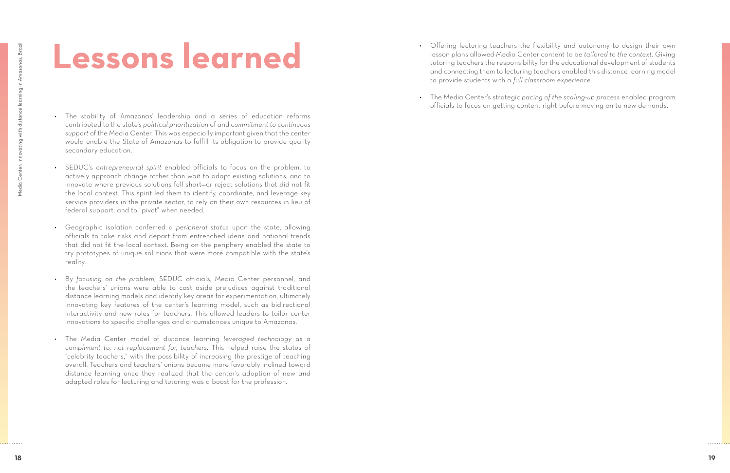## **Lessons learned**

- The stability of Amazonas' leadership and a series of education reforms contributed to the state's *political prioritization* of and *commitment to continuous support* of the Media Center. This was especially important given that the center would enable the State of Amazonas to fulfill its obligation to provide quality secondary education.
- SEDUC's *entrepreneurial spirit* enabled officials to focus on the problem, to actively approach change rather than wait to adapt existing solutions, and to innovate where previous solutions fell short—or reject solutions that did not fit the local context. This spirit led them to identify, coordinate, and leverage key service providers in the private sector, to rely on their own resources in lieu of federal support, and to "pivot" when needed.
- Geographic isolation conferred a *peripheral status* upon the state, allowing officials to take risks and depart from entrenched ideas and national trends that did not fit the local context. Being on the periphery enabled the state to try prototypes of unique solutions that were more compatible with the state's reality.
- By *focusing on the problem,* SEDUC officials, Media Center personnel, and the teachers' unions were able to cast aside prejudices against traditional distance learning models and identify key areas for experimentation, ultimately innovating key features of the center's learning model, such as bidirectional interactivity and new roles for teachers. This allowed leaders to tailor center innovations to specific challenges and circumstances unique to Amazonas.
- The Media Center model of distance learning *leveraged technology as a compliment to, not replacement for, teachers.* This helped raise the status of "celebrity teachers," with the possibility of increasing the prestige of teaching overall. Teachers and teachers' unions became more favorably inclined toward distance learning once they realized that the center's adoption of new and adapted roles for lecturing and tutoring was a boost for the profession.

• Offering lecturing teachers the flexibility and autonomy to design their own lesson plans allowed Media Center content to be *tailored to the context.* Giving tutoring teachers the responsibility for the educational development of students and connecting them to lecturing teachers enabled this distance learning model

- to provide students with a *full classroom experience.*
- 

• The Media Center's strategic *pacing of the scaling-up process* enabled program officials to focus on getting content right before moving on to new demands.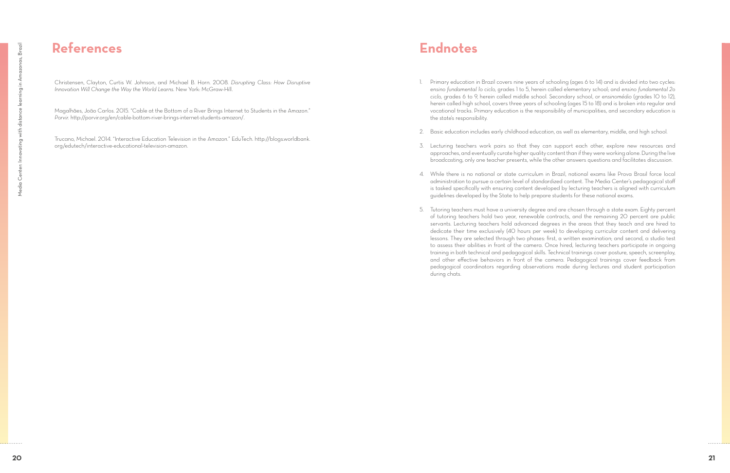## **References**

Christensen, Clayton, Curtis W. Johnson, and Michael B. Horn. 2008. *Disrupting Class: How Disruptive Innovation Will Change the Way the World Learns.* New York: McGraw-Hill.

Magalhães, João Carlos. 2015. "Cable at the Bottom of a River Brings Internet to Students in the Amazon." *Porvir.* http://porvir.org/en/cable-bottom-river-brings-internet-students-amazon/.

Trucano, Michael. 2014. "Interactive Education Television in the Amazon." EduTech. http://blogs.worldbank. org/edutech/interactive-educational-television-amazon.

1. Primary education in Brazil covers nine years of schooling (ages 6 to 14) and is divided into two cycles: *ensino fundamental 1o ciclo,* grades 1 to 5, herein called elementary school; and *ensino fundamental 2o ciclo,* grades 6 to 9, herein called middle school. Secondary school, or *ensinomédio* (grades 10 to 12), herein called high school, covers three years of schooling (ages 15 to 18) and is broken into regular and vocational tracks. Primary education is the responsibility of municipalities, and secondary education is

2. Basic education includes early childhood education, as well as elementary, middle, and high school.

3. Lecturing teachers work pairs so that they can support each other, explore new resources and approaches, and eventually curate higher quality content than if they were working alone. During the live broadcasting, only one teacher presents, while the other answers questions and facilitates discussion.

4. While there is no national or state curriculum in Brazil, national exams like Prova Brasil force local administration to pursue a certain level of standardized content. The Media Center's pedagogical staff is tasked specifically with ensuring content developed by lecturing teachers is aligned with curriculum

- the state's responsibility.
- 
- 
- guidelines developed by the State to help prepare students for these national exams.
- during chats.

5. Tutoring teachers must have a university degree and are chosen through a state exam. Eighty percent of tutoring teachers hold two year, renewable contracts, and the remaining 20 percent are public servants. Lecturing teachers hold advanced degrees in the areas that they teach and are hired to dedicate their time exclusively (40 hours per week) to developing curricular content and delivering lessons. They are selected through two phases: first, a written examination; and second, a studio test to assess their abilities in front of the camera. Once hired, lecturing teachers participate in ongoing training in both technical and pedagogical skills. Technical trainings cover posture, speech, screenplay, and other effective behaviors in front of the camera. Pedagogical trainings cover feedback from pedagogical coordinators regarding observations made during lectures and student participation

## **Endnotes**